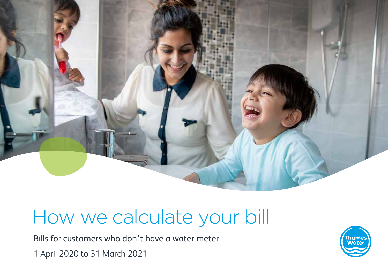

# How we calculate your bill

Bills for customers who don't have a water meter 1 April 2020 to 31 March 2021

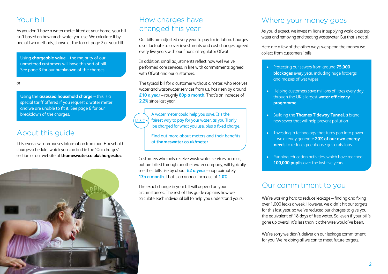## Your bill

As you don't have a water meter fitted at your home, your bill isn't based on how much water you use. We calculate it by one of two methods, shown at the top of page 2 of your bill:

Using **chargeable value** – the majority of our unmetered customers will have this sort of bill. See page 3 for our breakdown of the charges.

or

Using the **assessed household charge** – this is a special tariff offered if you request a water meter and we are unable to fit it. See page 6 for our breakdown of the charges.

# About this guide

This overview summarises information from our 'Household charges schedule' which you can find in the 'Our charges' section of our website at **thameswater.co.uk/chargesdoc**



# How charges have changed this year

Our bills are adjusted every year to pay for inflation. Charges also fluctuate to cover investments and cost changes agreed every five years with our financial regulator Ofwat.

In addition, small adjustments reflect how well we've performed core services, in line with commitments agreed with Ofwat and our customers.

The typical bill for a customer without a meter, who receives water and wastewater services from us, has risen by around **£10 a year** – roughly **80p a month**. That's an increase of **2.2%** since last year.

A water meter could help you save. It's the fairest way to pay for your water, as you'll only |2ाउा‡|≺ be charged for what you use, plus a fixed charge.

> Find out more about meters and their benefits at **thameswater.co.uk/meter**

Customers who only receive wastewater services from us, but are billed through another water company, will typically see their bills rise by about **£2 a year** – approximately **17p a month**. That's an annual increase of **1.0%**.

The exact change in your bill will depend on your circumstances. The rest of this guide explains how we calculate each individual bill to help you understand yours.

#### Where your money goes

As you'd expect, we invest millions in supplying world-class tap water and removing and treating wastewater. But that's not all.

Here are a few of the other ways we spend the money we collect from customers' bills:

- Protecting our sewers from around **75,000 blockages** every year, including huge fatbergs and masses of wet wipes
- Helping customers save millions of litres every day, through the UK's largest **water efficiency programme**
- Building the **Thames Tideway Tunnel**, a brand new sewer that will help prevent pollution
- Investing in technology that turns poo into power – we already generate **20% of our own energy needs** to reduce greenhouse gas emissions
- Running education activities, which have reached **100,000 pupils** over the last five years

# Our commitment to you

We're working hard to reduce leakage – finding and fixing over 1,000 leaks a week. However, we didn't hit our targets for this last year, so we've reduced our charges to give you the equivalent of 18 days of free water. So, even if your bill's gone up overall, it's less than it otherwise would've been.

We're sorry we didn't deliver on our leakage commitment for you. We're doing all we can to meet future targets.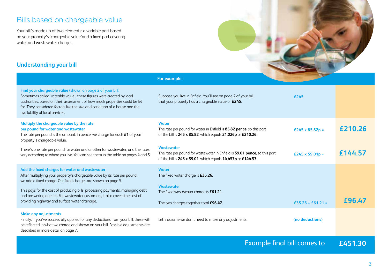# Bills based on chargeable value

Your bill's made up of two elements: a variable part based on your property's 'chargeable value'and a fixed part covering water and wastewater charges.



#### **Understanding your bill**

|                                                                                                                                                                                                                                                                                                                                                                                                               | For example:                                                                                                                                                   | <b>C</b>          |         |
|---------------------------------------------------------------------------------------------------------------------------------------------------------------------------------------------------------------------------------------------------------------------------------------------------------------------------------------------------------------------------------------------------------------|----------------------------------------------------------------------------------------------------------------------------------------------------------------|-------------------|---------|
| Find your chargeable value (shown on page 2 of your bill)<br>Sometimes called 'rateable value', these figures were created by local<br>authorities, based on their assessment of how much properties could be let<br>for. They considered factors like the size and condition of a house and the<br>availability of local services.                                                                           | Suppose you live in Enfield. You'll see on page 2 of your bill<br>that your property has a chargeable value of £245.                                           | £245              |         |
| Multiply the chargeable value by the rate<br>per pound for water and wastewater<br>The rate per pound is the amount, in pence, we charge for each $£1$ of your<br>property's chargeable value.                                                                                                                                                                                                                | <b>Water</b><br>The rate per pound for water in Enfield is 85.82 pence, so this part<br>of the bill is 245 x 85.82, which equals 21,026p or £210.26.           | £245 x 85.82p =   | £210.26 |
| There's one rate per pound for water and another for wastewater, and the rates<br>vary according to where you live. You can see them in the table on pages 4 and 5.                                                                                                                                                                                                                                           | <b>Wastewater</b><br>The rate per pound for wastewater in Enfield is 59.01 pence, so this part<br>of the bill is 245 x 59.01, which equals 14,457p or £144.57. | £245 x 59.01p =   | £144.57 |
| Add the fixed charges for water and wastewater<br>After multiplying your property's chargeable value by its rate per pound,<br>we add a fixed charge. Our fixed charges are shown on page 5.<br>This pays for the cost of producing bills, processing payments, managing debt<br>and answering queries. For wastewater customers, it also covers the cost of<br>providing highway and surface water drainage. | <b>Water</b><br>The fixed water charge is £35.26.<br><b>Wastewater</b><br>The fixed wastewater charge is £61.21.<br>The two charges together total £96.47.     | £35.26 + £61.21 = | £96.47  |
| <b>Make any adjustments</b><br>Finally, if you've successfully applied for any deductions from your bill, these will<br>be reflected in what we charge and shown on your bill. Possible adjustments are<br>described in more detail on page 7.                                                                                                                                                                | Let's assume we don't need to make any adjustments.                                                                                                            | (no deductions)   |         |

# Example final bill comes to **£451.30**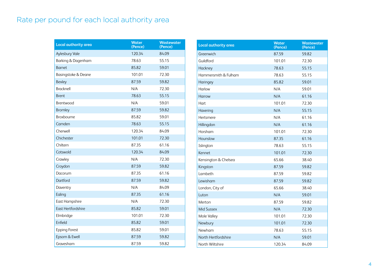# Rate per pound for each local authority area

| Local authority area      | <b>Water</b><br>(Pence) | <b>Wastewater</b><br>(Pence) |
|---------------------------|-------------------------|------------------------------|
| Aylesbury Vale            | 120.34                  | 84.09                        |
| Barking & Dagenham        | 78.63                   | 55.15                        |
| Barnet                    | 85.82                   | 59.01                        |
| Basingstoke & Deane       | 101.01                  | 72.30                        |
| <b>Bexley</b>             | 87.59                   | 59.82                        |
| <b>Bracknell</b>          | N/A                     | 72.30                        |
| <b>Brent</b>              | 78.63                   | 55.15                        |
| Brentwood                 | N/A                     | 59.01                        |
| <b>Bromley</b>            | 87.59                   | 59.82                        |
| <b>Broxbourne</b>         | 85.82                   | 59.01                        |
| Camden                    | 78.63                   | 55.15                        |
| Cherwell                  | 120.34                  | 84.09                        |
| Chichester                | 101.01                  | 72.30                        |
| Chiltern                  | 87.35                   | 61.16                        |
| Cotswold                  | 120.34                  | 84.09                        |
| Crawley                   | N/A                     | 72.30                        |
| Croydon                   | 87.59                   | 59.82                        |
| Dacorum                   | 87.35                   | 61.16                        |
| Dartford                  | 87.59                   | 59.82                        |
| Daventry                  | N/A                     | 84.09                        |
| Ealing                    | 87.35                   | 61.16                        |
| <b>East Hampshire</b>     | N/A                     | 72.30                        |
| <b>East Hertfordshire</b> | 85.82                   | 59.01                        |
| Elmbridge                 | 101.01                  | 72.30                        |
| Enfield                   | 85.82                   | 59.01                        |
| <b>Epping Forest</b>      | 85.82                   | 59.01                        |
| Epsom & Ewell             | 87.59                   | 59.82                        |
| Gravesham                 | 87.59                   | 59.82                        |

| Local authority area | <b>Water</b><br>(Pence) | Wastewater<br>(Pence) |
|----------------------|-------------------------|-----------------------|
| Greenwich            | 87.59                   | 59.82                 |
| Guildford            | 101.01                  | 72.30                 |
| Hackney              | 78.63                   | 55.15                 |
| Hammersmith & Fulham | 78.63                   | 55.15                 |
| Haringey             | 85.82                   | 59.01                 |
| Harlow               | N/A                     | 59.01                 |
| Harrow               | N/A                     | 61.16                 |
| Hart                 | 101.01                  | 72.30                 |
| Havering             | N/A                     | 55.15                 |
| Hertsmere            | N/A                     | 61.16                 |
| Hillingdon           | N/A                     | 61.16                 |
| Horsham              | 101.01                  | 72.30                 |
| Hounslow             | 87.35                   | 61.16                 |
| Islington            | 78.63                   | 55.15                 |
| Kennet               | 101.01                  | 72.30                 |
| Kensington & Chelsea | 65.66                   | 38.40                 |
| Kingston             | 87.59                   | 59.82                 |
| Lambeth              | 87.59                   | 59.82                 |
| Lewisham             | 87.59                   | 59.82                 |
| London, City of      | 65.66                   | 38.40                 |
| Luton                | N/A                     | 59.01                 |
| Merton               | 87.59                   | 59.82                 |
| <b>Mid Sussex</b>    | N/A                     | 72.30                 |
| Mole Valley          | 101.01                  | 72.30                 |
| Newbury              | 101.01                  | 72.30                 |
| Newham               | 78.63                   | 55.15                 |
| North Hertfordshire  | N/A                     | 59.01                 |
| North Wiltshire      | 120.34                  | 84.09                 |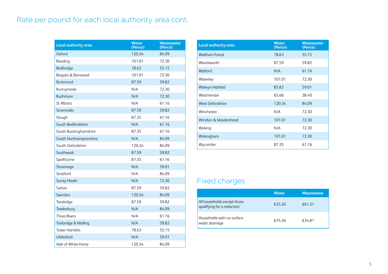# Rate per pound for each local authority area cont.

| Local authority area   | <b>Water</b><br>(Pence) | Wastewater<br>(Pence) |
|------------------------|-------------------------|-----------------------|
| Oxford                 | 120.34                  | 84.09                 |
| Reading                | 101.01                  | 72.30                 |
| Redbridge              | 78.63                   | 55.15                 |
| Reigate & Banstead     | 101.01                  | 72.30                 |
| Richmond               | 87.59                   | 59.82                 |
| Runnymede              | N/A                     | 72.30                 |
| Rushmoor               | N/A                     | 72.30                 |
| St Albans              | N/A                     | 61.16                 |
| Sevenoaks              | 87.59                   | 59.82                 |
| Slough                 | 87.35                   | 61.16                 |
| South Bedfordshire     | N/A                     | 61.16                 |
| South Buckinghamshire  | 87.35                   | 61.16                 |
| South Northamptonshire | N/A                     | 84.09                 |
| South Oxfordshire      | 120.34                  | 84.09                 |
| Southwark              | 87.59                   | 59.82                 |
| Spelthorne             | 87.35                   | 61.16                 |
| Stevenage              | N/A                     | 59.01                 |
| Stratford              | N/A                     | 84.09                 |
| <b>Surrey Heath</b>    | N/A                     | 72.30                 |
| Sutton                 | 87.59                   | 59.82                 |
| Swindon                | 120.34                  | 84.09                 |
| Tandridge              | 87.59                   | 59.82                 |
| Tewkesbury             | N/A                     | 84.09                 |
| <b>Three Rivers</b>    | N/A                     | 61.16                 |
| Tonbridge & Malling    | N/A                     | 59.82                 |
| <b>Tower Hamlets</b>   | 78.63                   | 55.15                 |
| <b>Uttlesford</b>      | N/A                     | 59.01                 |
| Vale of White Horse    | 120.34                  | 84.09                 |

| <b>Local authority area</b> | <b>Water</b><br>(Pence) | <b>Wastewater</b><br>(Pence) |
|-----------------------------|-------------------------|------------------------------|
| <b>Waltham Forest</b>       | 78.63                   | 55.15                        |
| Wandsworth                  | 87.59                   | 59.82                        |
| Watford                     | N/A                     | 61.16                        |
| Waverley                    | 101.01                  | 72.30                        |
| Welwyn Hatfield             | 85.82                   | 59.01                        |
| Westminster                 | 65.66                   | 38.40                        |
| West Oxfordshire            | 120.34                  | 84.09                        |
| Winchester                  | N/A                     | 72.30                        |
| Windsor & Maidenhead        | 101.01                  | 72.30                        |
| Woking                      | N/A                     | 72.30                        |
| Wokingham                   | 101.01                  | 72.30                        |
| Wycombe                     | 87.35                   | 61.16                        |

# Fixed charges

|                                                           | <b>Water</b> | <b>Wastewater</b> |
|-----------------------------------------------------------|--------------|-------------------|
| All households except those<br>qualifying for a reduction | €35.26       | £61.21            |
| Households with no surface<br>water drainage              | £35.26       | €34.81            |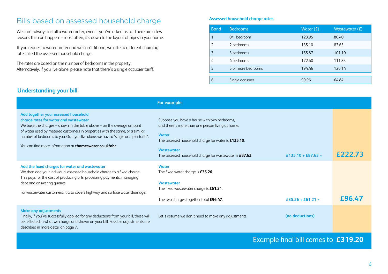## Bills based on assessed household charge

We can't always install a water meter, even if you've asked us to. There are a few reasons this can happen – most often, it's down to the layout of pipes in your home.

If you request a water meter and we can't fit one, we offer a different charging rate called the assessed household charge.

The rates are based on the number of bedrooms in the property. Alternatively, if you live alone, please note that there's a single occupier tariff.

#### **Assessed household charge rates**

| <b>Band</b>    | <b>Bedrooms</b>    | Water $(E)$ | Wastewater $(E)$ |
|----------------|--------------------|-------------|------------------|
|                | $0/1$ bedroom      | 123.95      | 80.40            |
| $\overline{2}$ | 2 bedrooms         | 135.10      | 87.63            |
| 3              | 3 bedrooms         | 155.87      | 101.10           |
| 4              | 4 bedrooms         | 172.40      | 111.83           |
| 5              | 5 or more bedrooms | 194.46      | 126.14           |
|                |                    |             |                  |
| 6              | Single occupier    | 99.96       | 64.84            |

#### **Understanding your bill**

|                                                                                                                                                                                                                                                                                                                                                                                                        | For example:                                                                                                                                                                                                                                           |                    |        |
|--------------------------------------------------------------------------------------------------------------------------------------------------------------------------------------------------------------------------------------------------------------------------------------------------------------------------------------------------------------------------------------------------------|--------------------------------------------------------------------------------------------------------------------------------------------------------------------------------------------------------------------------------------------------------|--------------------|--------|
| Add together your assessed household<br>charge rates for water and wastewater<br>We base the charges $-$ shown in the table above $-$ on the average amount<br>of water used by metered customers in properties with the same, or a similar,<br>number of bedrooms to you. Or, if you live alone, we have a 'single occupier tariff'.<br>You can find more information at <b>thameswater.co.uk/ahc</b> | Suppose you have a house with two bedrooms,<br>and there's more than one person living at home.<br><b>Water</b><br>The assessed household charge for water is £135.10.<br><b>Wastewater</b><br>The assessed household charge for wastewater is £87.63. | £135.10 + £87.63 = |        |
| Add the fixed charges for water and wastewater<br>We then add your individual assessed household charge to a fixed charge.<br>This pays for the cost of producing bills, processing payments, managing<br>debt and answering queries.                                                                                                                                                                  | <b>Water</b><br>The fixed water charge is $£35.26$ .<br><b>Wastewater</b>                                                                                                                                                                              |                    |        |
| For wastewater customers, it also covers highway and surface water drainage.                                                                                                                                                                                                                                                                                                                           | The fixed wastewater charge is £61.21.<br>The two charges together total £96.47.                                                                                                                                                                       | £35.26 + £61.21 =  | £96.47 |
| <b>Make any adjustments</b><br>Finally, if you've successfully applied for any deductions from your bill, these will<br>be reflected in what we charge and shown on your bill. Possible adjustments are<br>described in more detail on page 7.                                                                                                                                                         | Let's assume we don't need to make any adjustments.                                                                                                                                                                                                    | (no deductions)    |        |

# Example final bill comes to **£319.20**